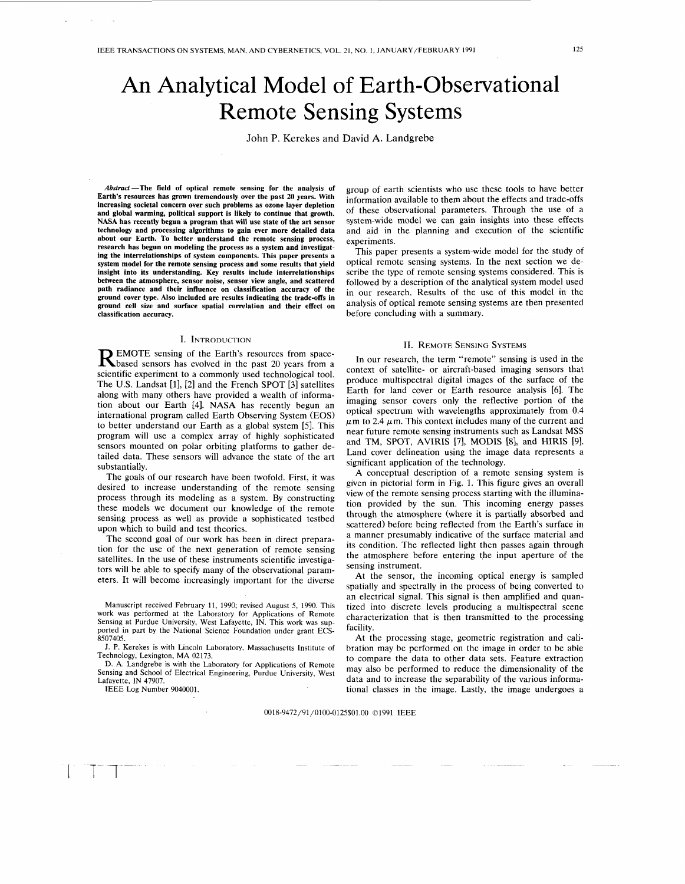# An Analytical Model of Earth-Observational Remote Sensing Systems

John **P.** Kerekes and David **A.** Landgrebe

**Abstract-The field of optical remote sensing for the analysis of Earth's resources has grown tremendously over the past 20 years. With increasing societal concern over such problems as ozone layer depletion and global warming, political support is likely to continue that growth. NASA has recently begun a program that will use state of the art sensor technology and processing algorithms to gain ever more detailed data about our Earth. To better understand the remote sensing process, research has begun on modeling the process as a system and investigating the interrelationships of system components. This paper presents a system model for the remote sensing process and some results that yield insight into its understanding. Key results include interrelationships between the atmosphere, sensor noise, sensor view angle, and scattered path radiance and their influence on classification accuracy of the ground cover type.** *Also* **included are results indicating the trade-offs in ground cell size and surface spatial correlation and their effect on classification accuracy.** 

## **I. INTRODUCTION**

EMOTE sensing of the Earth's resources from space- R based sensors has evolved in the past **<sup>20</sup>**years from a scientific experiment to a commonly used technological tool. The **U.S.** Landsat [l], *[2]* and the French SPOT **[3]** satellites along with many others have provided a wealth of information about our Earth [4]. NASA has recently begun an international program called Earth Observing System (EOS) to better understand our Earth as a global system [5]. This program will use a complex array of highly sophisticated sensors mounted on polar orbiting platforms to gather detailed data. These sensors will advance the state of the art substantially.

The goals of our research have been twofold. First, it was desired to increase understanding of the remote sensing process through its modeling as a system. By constructing these models we document our knowledge of the remote sensing process as well as provide a sophisticated testbed upon which to build and test theories.

The second goal of our work has been in direct preparation for the use of the next generation of remote sensing satellites. In the use of these instruments scientific investigators will be able to specify many **of** the observational parameters. It will become increasingly important for the diverse

Manuscript received February 11, 1990; revised August *5,* 1990. This work was performed at the Laboratory for Applications of Remote Sensing at Purdue University, West Lafayette, IN. This work was supported in part by the National Science Foundation under grant **ECS-**8507405.

J. P. Kerekes **is** with Lincoln Laboratory, Massachusetts Institute of Technology, Lexington, MA 02173.

D. A. Landgrebe is with the Laboratory for Applications of Remote Sensing and School of Electrical Engineering, Purdue University, West Lafayette, **IN** 47907.

IEEE Log Number 9040001.

 $\frac{1}{2}$   $\frac{1}{2}$   $\frac{1}{2}$ 

group of earth scientists who use these tools to have better information available to them about the effects and trade-offs of these observational parameters. Through the use of a system-wide model we can gain insights into these effects and aid in the planning and execution of the scientific experiments.

This paper presents a system-wide model for the study of optical remote sensing systems. In the next section we describe the type of remote sensing systems considered. This is followed by a description of the analytical system model used in our research. Results of the use of this model in the analysis of optical remote sensing systems are then presented before concluding with a summary.

# 11. **REMOTE SENSING SYSTEMS**

In our research, the term "remote" sensing is used in the context of satellite- or aircraft-based imaging sensors that produce multispectral digital images of the surface of the Earth for land cover or Earth resource analysis [6]. The imaging sensor covers only the reflective portion of the optical spectrum with wavelengths approximately from 0.4  $\mu$ m to 2.4  $\mu$ m. This context includes many of the current and near future remote sensing instruments such as Landsat MSS and TM, SPOT, AVIRIS [7], MODIS [8], and HIRIS [9]. Land cover delineation using the image data represents a significant application of the technology.

A conceptual description of a remote sensing system is given in pictorial form in [Fig. 1](#page-1-0). This figure gives an overall view of the remote sensing process starting with the illumination provided by the sun. This incoming energy passes through the atmosphere (where it is partially absorbed and scattered) before being reflected from the Earth's surface in a manner presumably indicative of the surface material and its condition. The reflected light then passes again through the atmosphere before entering the input aperture of the sensing instrument.

At the sensor, the incoming optical energy is sampled spatially and spectrally in the process of being converted to an electrical signal. This signal is then amplified and quantized into discrete levels producing a multispectral scene characterization that is then transmitted to the processing facility.

At the processing stage, geometric registration and calibration may be performed on the image in order to be able to compare the data to other data sets. Feature extraction may also be performed to reduce the dimensionality of the data and to increase the separability of the various informational classes in the image. Lastly, the image undergoes a

## 0018-9472/91/0100-0125\$01.00 ©1991 IEEE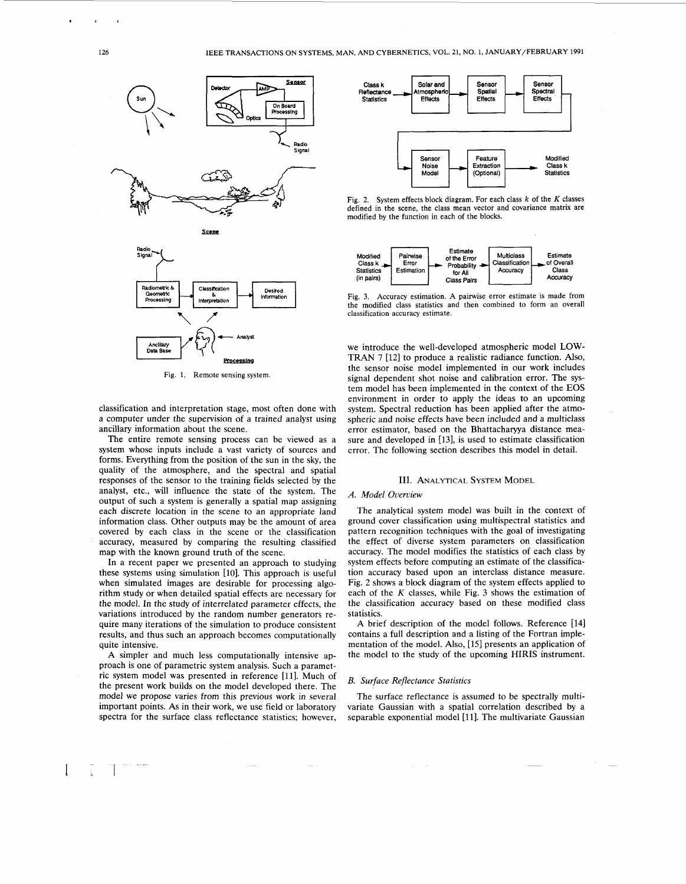*"I* 

**126 IEEE TRANSACTIONS ON SYSTEMS, MAN, AND CYBERNETICS, VOL. 21, NO.** 1, **JANUARY/FEBRUARY** 1991

<span id="page-1-0"></span>



classification and interpretation stage, most often done with a computer under the supervision of a trained analyst using ancillary information about the scene.

The entire remote sensing process can be viewed as a system whose inputs include a vast variety of sources and forms. Everything from the position of the sun in the sky, the quality of the atmosphere, and the spectral and spatial responses of the sensor to the training fields selected by the analyst, etc., will influence the state of the system. The output of such a system is generally a spatial map assigning each discrete location in the scene to an appropriate land information class. Other outputs may be the amount of area covered by each class in the scene or the classification accuracy, measured by comparing the resulting classified map with the known ground truth of the scene.

In a recent paper we presented an approach to studying these systems using simulation **[lo].** This approach is useful when simulated images are desirable for processing algorithm study or when detailed spatial effects are necessary for the model. In the study of interrelated parameter effects, the variations introduced by the random number generators require many iterations of the simulation to produce consistent results, and thus such an approach becomes computationally quite intensive.

**A** simpler and much less computationally intensive approach is one of parametric system analysis. Such a parametric system model was presented in reference [11]. Much of the present work builds on the model developed there. The model we propose varies from this previous work in several important points. As in their work, we use field or laboratory spectra for the surface class reflectance statistics; however,



**Fig. 2. System effects block diagram. For each class** *k* **of the K classes defined in the scene, the class mean vector and covariance matrix are modified by the function in each of the blocks.** 



**the modified class statistics and then combined to form an overall classification accuracy estimate.** 

we introduce the well-developed atmospheric model LOW-TRAN 7 **[12]** to produce a realistic radiance function. *Also,*  the sensor noise model implemented in our work includes signal dependent shot noise and calibration error. The system model has been implemented in the context of the EOS environment in order to apply the ideas to an upcoming system. Spectral reduction has been applied after the atmospheric and noise effects have been included and a multiclass error estimator, based on the Bhattacharyya distance measure and developed in **[13],** is used to estimate classification error. The following section describes this model in detail.

#### 111. **ANALYTICAL SYSTEM MODEL**

# *A. Model Oueruiew*

The analytical system model was built in the context of ground cover classification using multispectral statistics and pattern recognition techniques with the goal of investigating the effect of diverse system parameters on classification accuracy. The model modifies the statistics of each class by system effects before computing an estimate of the classification accuracy based upon an interclass distance measure. Fig. 2 shows a block diagram of the system effects applied to each of the *K* classes, while Fig. **3** shows the estimation of the classification accuracy based on these modified class statistics.

**A** brief description **of** the model follows. Reference **[141**  contains a full description and a listing of the Fortran implementation of the model. Also, **[15]** presents an application of the model to the study of the upcoming HIRIS instrument.

## *B. Surface Reflectance Statistics*

The surface reflectance is assumed to be spectrally multivariate Gaussian with a spatial correlation described by a separable exponential model [11]. The multivariate Gaussian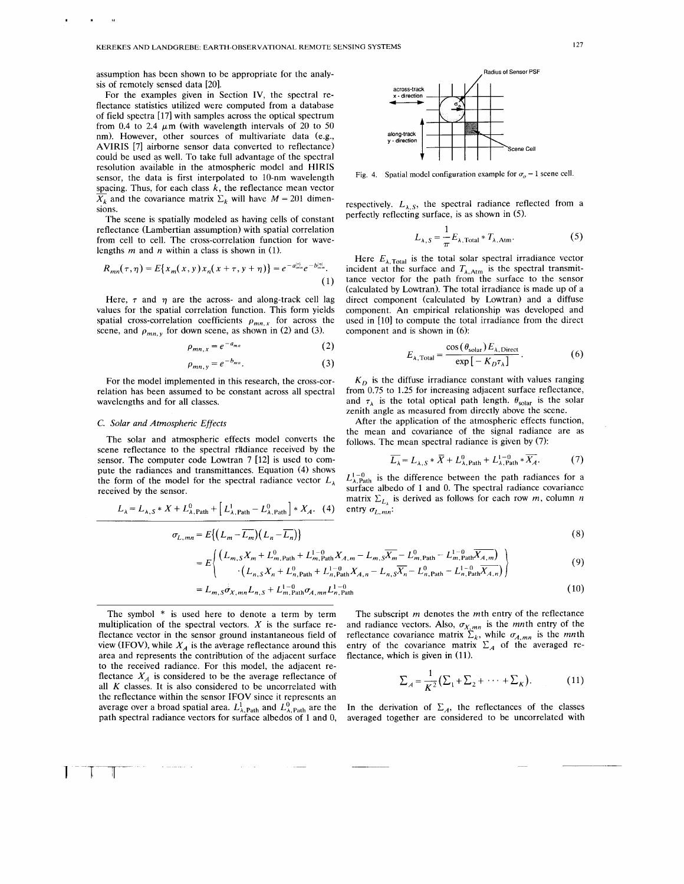assumption has been shown to be appropriate for the analysis of remotely sensed data [20].

<span id="page-2-0"></span>. I,

For the examples given in Section IV, the spectral reflectance statistics utilized were computed from a database of field spectra [17] with samples across the optical spectrum from 0.4 to 2.4  $\mu$ m (with wavelength intervals of 20 to 50 nm). However, other sources of multivariate data (e.g., AVIRIS [7] airborne sensor data converted to reflectance) could be used as well. To take full advantage of the spectral resolution available in the atmospheric model and HIRIS sensor, the data is first interpolated to 10-nm wavelength spacing. Thus, for each class *k,* the reflectance mean vector  $\overline{X_k}$  and the covariance matrix  $\Sigma_k$  will have  $M = 201$  dimensions.

The scene is spatially modeled as having cells of constant reflectance (Lambertian assumption) with spatial correlation from cell to cell. The cross-correlation function for wavelengths  $m$  and  $n$  within a class is shown in  $(1)$ .

$$
R_{mn}(\tau, \eta) = E\{x_m(x, y) x_n(x + \tau, y + \eta)\} = e^{-a_{mn}^{(1)}} e^{-b_{mn}^{(1)}}.
$$
\n(1)

Here,  $\tau$  and  $\eta$  are the across- and along-track cell lag values for the spatial correlation function. This form yields spatial cross-correlation coefficients  $\rho_{mn,x}$  for across the scene, and  $\rho_{mn,y}$  for down scene, as shown in (2) and (3).

$$
\rho_{mn,x} = e^{-a_{mn}} \tag{2}
$$

$$
\rho_{mn,v} = e^{-b_{mn}}.\tag{3}
$$

For the model implemented in this research, the cross-correlation has been assumed to be constant across all spectral wavelengths and for all classes.

## *C.* Solar and *Atmospheric Effects*

The solar and atmospheric effects model converts the scene reflectance to the spectral radiance received by the sensor. The computer code Lowtran 7 [12] is used to compute the radiances and transmittances. Equation (4) shows the form of the model for the spectral radiance vector  $L_{\lambda}$ received by the sensor.

$$
L_{\lambda} = L_{\lambda, S} * X + L_{\lambda, \text{Path}}^0 + \left[ L_{\lambda, \text{Path}}^1 - L_{\lambda, \text{Path}}^0 \right] * X_A. \tag{4}
$$

 $\sigma_{L,mn} = E\left\{ \left( L_m - \overline{L_m} \right) \left( L_n - \overline{L_n} \right) \right\}$ 



Fig. 4. Spatial model configuration example for  $\sigma_0 = 1$  scene cell.

respectively.  $L_{\lambda, S}$ , the spectral radiance reflected from a perfectly reflecting surface, is as shown in (5).

$$
L_{\lambda, S} = \frac{1}{\pi} E_{\lambda, \text{Total}} * T_{\lambda, \text{Atm}}.
$$
 (5)

Here  $E_{\lambda, \text{Total}}$  is the total solar spectral irradiance vector incident at the surface and  $T_{\lambda, \text{Atm}}$  is the spectral transmittance vector for the path from the surface to the sensor (calculated by Lowtran). The total irradiance is made up of a direct component (calculated by Lowtran) and a diffuse component. **An** empirical relationship was developed and used in [10] to compute the total irradiance from the direct component and is shown in (6):

$$
E_{\lambda, \text{Total}} = \frac{\cos(\theta_{\text{solar}}) E_{\lambda, \text{Direct}}}{\exp[-K_{D}\tau_{\lambda}]}.
$$
 (6)

 $K_D$  is the diffuse irradiance constant with values ranging from 0.75 to 1.25 for increasing adjacent surface reflectance, and  $\tau_{\lambda}$  is the total optical path length.  $\theta_{\text{solar}}$  is the solar zenith angle as measured from directly above the scene.

After the application of the atmospheric effects function, the mean and covariance of the signal radiance are as follows. The mean spectral radiance is given by (7):

$$
\overline{L_{\lambda}} = L_{\lambda, S} * \overline{X} + L_{\lambda, \text{Path}}^0 + L_{\lambda, \text{Path}}^{1-0} * \overline{X_A}.
$$
 (7)

 $L_{\lambda, \text{Path}}^{1-0}$  is the difference between the path radiances for a surface albedo of 1 and 0. The spectral radiance covariance matrix  $\Sigma_{L_1}$  is derived as follows for each row *m*, column *n* entry  $\sigma_{L,mn}$ :

$$
-(8)
$$

$$
=E\left\{\frac{\left(L_{m,S}X_{m}+L_{m, \text{Path}}^{0}+L_{m, \text{Path}}^{1-0}X_{A, m}-L_{m,S}\overline{X_{m}}-L_{m, \text{Path}}^{0}-L_{m, \text{Path}}^{1-0}\overline{X_{A, m}}\right)}{\left(L_{n,S}X_{n}+L_{n, \text{Path}}^{0}+L_{n, \text{Path}}^{1-0}X_{A, n}-L_{n,S}\overline{X_{n}}-L_{n, \text{Path}}^{0}-L_{n, \text{Path}}^{1-0}\overline{X_{A, n}}\right)}\right\}
$$
(9)

$$
=L_{m,S}\dot{\sigma}_{X,mn}L_{n,S}+L_{m,\text{Path}}^{1-0}\sigma_{A,mn}L_{n,\text{Path}}^{1-0}
$$
\n(10)

The symbol \* is used here to denote a term by term multiplication of the spectral vectors. *X* is the surface reflectance vector in the sensor ground instantaneous field of view (IFOV), while  $X_A$  is the average reflectance around this area and represents the contribbtion of the adjacent surface to the received radiance. For this model, the adjacent reflectance  $X_A$  is considered to be the average reflectance of all *K* classes. It is also considered to be uncorrelated with the reflectance within the sensor IFOV since it represents an average over a broad spatial area.  $L_{\lambda, \text{Path}}^1$  and  $L_{\lambda, \text{Path}}^0$  are the path spectral radiance vectors for surface albedos of 1 and 0,

The subscript *m* denotes the mth entry of the reflectance and radiance vectors. Also,  $\sigma_{X,mn}$  is the *mnth* entry of the reflectance covariance matrix  $\Sigma_k$ , while  $\sigma_{A,mn}$  is the *mnth* entry of the covariance matrix  $\Sigma_A$  of the averaged reflectance, which is given in (11).

$$
\sum_{A} = \frac{1}{K^2} \left( \sum_{1} + \sum_{2} + \dots + \sum_{K} \right). \tag{11}
$$

In the derivation of  $\Sigma_A$ , the reflectances of the classes averaged together are considered to be uncorrelated with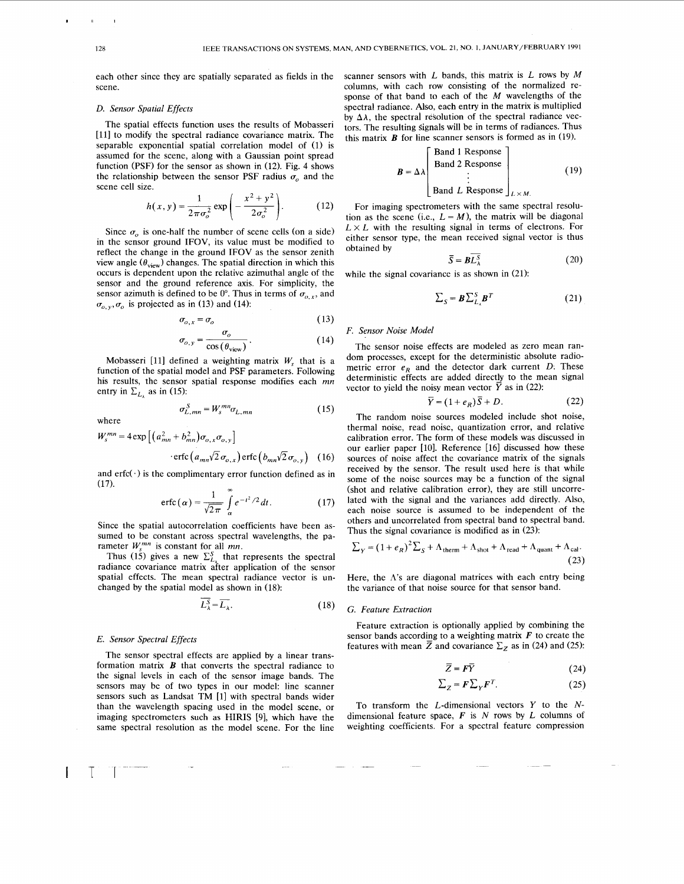each other since they are spatially separated as fields in the scene.

## *D. Sensor Spatial Effects*

The spatial effects function uses the results of Mobasseri **[11]** to modify the spectral radiance covariance matrix. The separable exponential spatial correlation model of **(1)** is assumed for the scene, along with a Gaussian point spread function (PSF) for the sensor as shown in (12). [Fig. 4](#page-2-0) shows the relationship between the sensor PSF radius  $\sigma$ <sub>o</sub> and the scene cell size.

$$
h(x, y) = \frac{1}{2\pi\sigma_o^2} \exp\left(-\frac{x^2 + y^2}{2\sigma_o^2}\right).
$$
 (12)

Since  $\sigma$ <sub>o</sub> is one-half the number of scene cells (on a side) in the sensor ground IFOV, its value must be modified to reflect the change in the ground IFOV as the sensor zenith view angle  $(\theta_{view})$  changes. The spatial direction in which this occurs is dependent upon the relative azimuthal angle of the sensor and the ground reference axis. For simplicity, the sensor azimuth is defined to be  $0^\circ$ . Thus in terms of  $\sigma_{0,x}$ , and  $\sigma_{o,y}, \sigma_o$  is projected as in (13) and (14):

$$
\sigma_{o,x} = \sigma_o \tag{13}
$$

$$
\sigma_{o,y} = \frac{\sigma_o}{\cos(\theta_{\text{view}})}.
$$
\n(14)

 $\sigma_{L,mn}^{S} = W_s^{mn} \sigma_{L,mn}$  (15)

Mobasseri **[11]** defined a weighting matrix *W,* that is a function of the spatial model and PSF parameters. Following his results, the sensor spatial response modifies each *mn*  entry in  $\Sigma_L$  as in (15):

where

(17).

$$
W_s^{mn} = 4 \exp \left[ \left( a_{mn}^2 + b_{mn}^2 \right) \sigma_{o,x} \sigma_{o,y} \right]
$$
  
erfc  $\left( a_{n-1} \sqrt{2} \sigma_{o,x} \right)$  erfc  $\left( b_{n-1} \sqrt{2} \sigma_{o,x} \right)$ 

and erfc(
$$
\cdot
$$
) is the complementary error function defined as in

 $1-\overset{\infty}{\phantom{o}}_{1}$ 

erfc
$$
(a_{mn}\sqrt{2}\sigma_{o,x})
$$
erfc $(b_{mn}\sqrt{2}\sigma_{o,y})$  (16)  
e complimentary error function defined as in  
erfc $(\alpha) = \frac{1}{\sqrt{2\pi}} \int_{\alpha}^{\infty} e^{-t^2/2} dt$ . (17)

Since the spatial autocorrelation coefficients have been assumed to be constant across spectral wavelengths, the parameter  $W_s^{mn}$  is constant for all  $mn$ .

Thus (15) gives a new  $\Sigma_{L_1}^S$  that represents the spectral radiance covariance matrix after application of the sensor spatial effects. The mean spectral radiance vector is unchanged by the spatial model as shown in (18):

$$
L^S_\lambda = \overline{L_\lambda}.\tag{18}
$$

## *E. Sensor Spectral Effects*

The sensor spectral effects are applied by a linear transformation matrix *B* that converts the spectral radiance to the signal levels in each of the sensor image bands. The sensors may be of two types in our model: line scanner sensors such as Landsat TM [1] with spectral bands wider than the wavelength spacing used in the model scene, or imaging spectrometers such as HIRIS **[9],** which have the same spectral resolution as the model scene. For the line

~- I T I----

scanner sensors with L bands, this matrix is L rows by *M*  columns, with each row consisting of the normalized response of that band to each of the *M* wavelengths of the spectral radiance. *Also,* each entry in the matrix is multiplied by  $\Delta\lambda$ , the spectral resolution of the spectral radiance vectors. The resulting signals will be in terms of radiances. Thus this matrix *B* for line scanner sensors is formed as in (19).

$$
\mathbf{B} = \Delta \lambda \begin{bmatrix} \text{Band 1 Response} \\ \text{Band 2 Response} \\ \vdots \\ \text{Band L Response} \end{bmatrix}_{L \times M} \tag{19}
$$

For imaging spectrometers with the same spectral resolution as the scene (i.e.,  $L = M$ ), the matrix will be diagonal  $L \times L$  with the resulting signal in terms of electrons. For  $L \times L$  with the resulting signal in terms of electrons. For<br>either sensor type, the mean received signal vector is thus<br>obtained by<br> $\overline{S} = RI^S$  (20) obtained by

$$
\overline{S} = BL_{\lambda}^{S} \tag{20}
$$

while the signal covariance is as shown in  $(21)$ :

$$
\sum_{S} = \boldsymbol{B} \sum_{L_{\lambda}}^{S} \boldsymbol{B}^{T}
$$
 (21)

## *F. Sensor Noise Model*

The sensor noise effects are modeled as zero mean random processes, except for the deterministic absolute radiometric error  $e_R$  and the detector dark current *D*. These deterministic effects are added directly to the mean signal vector to yield the noisy mean vector  $\overline{Y}$  as in (22):

$$
\overline{Y} = (1 + e_R)\overline{S} + D. \tag{22}
$$

The random noise sources modeled include shot noise, thermal noise, read noise, quantization error, and relative calibration error. The form of these models was discussed in our earlier paper [10]. Reference [16] discussed how these sources of noise affect the covariance matrix of the signals received by the sensor. The result used here is that while some of the noise sources may be a function of the signal (shot and relative calibration error), they are still uncorrelated with the signal and the variances add directly. Also, each noise source is assumed to be independent of the others and uncorrelated from spectral band to spectral band. Thus the signal covariance is modified as in (23):

$$
\sum_{Y} = (1 + e_R)^2 \sum_{S} + \Lambda_{\text{therm}} + \Lambda_{\text{shot}} + \Lambda_{\text{read}} + \Lambda_{\text{quant}} + \Lambda_{\text{cal}}.
$$
\n(23)

Here, the **A's** are diagonal matrices with each entry being the variance of that noise source for that sensor band.

### G. *Feature Extraction*

Feature extraction is optionally applied by combining the sensor bands according to a weighting matrix  $F$  to create the features with mean  $\overline{Z}$  and covariance  $\Sigma_z$  as in (24) and (25):

$$
\overline{Z} = \overline{FY} \tag{24}
$$

$$
\sum_{Z} = F \sum_{Y} F^{T}.
$$
 (25)

To transform the L-dimensional vectors *Y* to the *N*dimensional feature space, *F* is *N* rows by *L* columns of weighting coefficients. For a spectral feature compression

**I** /I **<sup>I</sup>**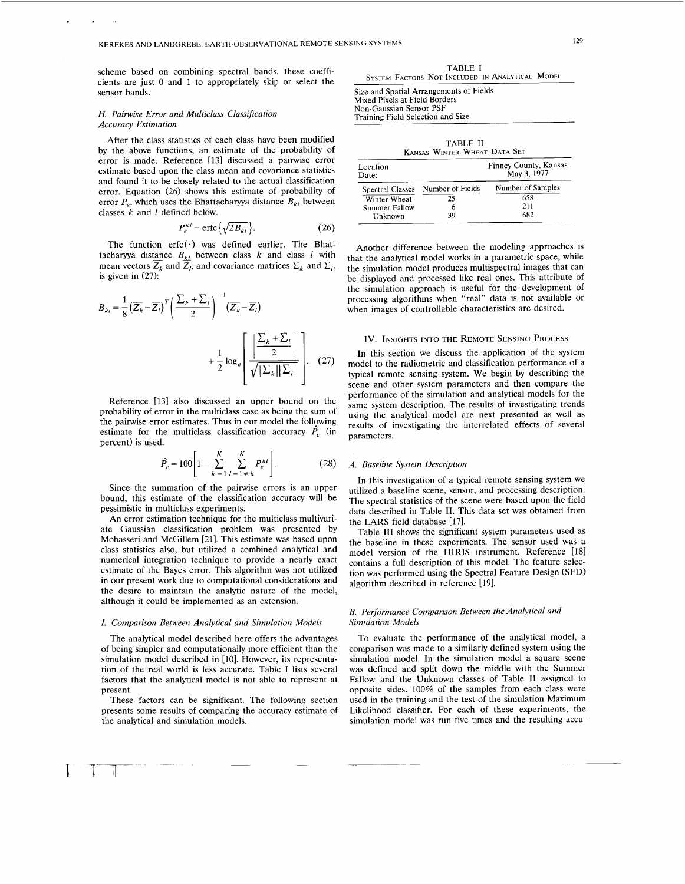scheme based on combining spectral bands, these coefficients are just 0 and 1 to appropriately skip or select the sensor bands.

# *H. Pairwise Error and Multiclass Classification Accuracy Estimation*

<span id="page-4-0"></span>.<br>In the **a**rtist of the

After the class statistics of each class have been modified by the above functions, an estimate of the probability of error is made. Reference [13] discussed a pairwise error estimate based upon the class mean and covariance statistics and found it to be closely related to the actual classification error. Equation (26) shows this estimate of probability of error  $P_e$ , which uses the Bhattacharyya distance  $B_{kl}$  between classes  $k$  and  $l$  defined below.<br>  $P_e^{kl} = \text{erfc} \left\{ \sqrt{2B_{kl}} \right\}.$  (26) classes *k* and *1* defined below.

$$
P_e^{kl} = \text{erfc}\left\{\sqrt{2B_{kl}}\right\}.
$$
 (26)

The function  $erfc(\cdot)$  was defined earlier. The Bhattacharyya distance  $B_{kl}$  between class *k* and class *l* with mean vectors  $\overline{Z}_k$  and  $\overline{Z}_l$ , and covariance matrices  $\sum_k$  and  $\sum_l$ , is given in (27):

$$
B_{kl} = \frac{1}{8} \left( \overline{Z}_k - \overline{Z}_l \right)^T \left( \frac{\sum_k + \sum_l}{2} \right)^{-1} \left( \overline{Z}_k - \overline{Z}_l \right)
$$

$$
+ \frac{1}{2} \log_e \left[ \frac{\left| \frac{\sum_k + \sum_l}{2} \right|}{\sqrt{\left| \sum_k \left| \left| \sum_l \right|} \right|} \right]. \quad (27)
$$

Reference [13] also discussed an upper bound on the probability of error in the multiclass case as being the sum of the pairwise error estimates. Thus in our model the following estimate for the multiclass classification accuracy  $\ddot{P}_c$  (in percent) is used.

$$
\hat{P}_c = 100 \left[ 1 - \sum_{k=1}^{K} \sum_{l=1 \neq k}^{K} P_e^{kl} \right].
$$
 (28)

Since the summation of the pairwise errors is an upper bound, this estimate of the classification accuracy will be pessimistic in multiclass experiments.

An error estimation technique for the multiclass multivariate Gaussian classification problem was presented by Mobasseri and McGillem [21]. This estimate was based upon class statistics also, but utilized a combined analytical and numerical integration technique to provide a nearly exact estimate of the Bayes error. This algorithm was not utilized in our present work due to computational considerations and the desire to maintain the analytic nature of the model, although it could be implemented as an extension.

# *I. Comparison Between Analytical and Simulation Models*

The analytical model described here offers the advantages of being simpler and computationally more efficient than the simulation model described in [10]. However, its representation of the real world is less accurate. Table **I** lists several factors that the analytical model is not able to represent at present.

These factors can be significant. The following section presents some results of comparing the accuracy estimate of the analytical and simulation models.

 $\frac{1}{2}$ 

| SYSTEM FACTORS NOT INCLUDED IN ANALYTICAL MODEL                                                                                          |  |
|------------------------------------------------------------------------------------------------------------------------------------------|--|
| Size and Spatial Arrangements of Fields<br>Mixed Pixels at Field Borders<br>Non-Gaussian Sensor PSF<br>Training Field Selection and Size |  |

TABLE I

TABLE **I1**  KANSAS WINTER WHEAT DATA SET

| Location:<br>Date:      |                  | Finney County, Kansas<br>May 3, 1977 |  |
|-------------------------|------------------|--------------------------------------|--|
| <b>Spectral Classes</b> | Number of Fields | Number of Samples                    |  |
| Winter Wheat            | 25               | 658                                  |  |
| <b>Summer Fallow</b>    | 6                | 211                                  |  |
| Unknown                 | 39               | 682                                  |  |

Another difference between the modeling approaches is that the analytical model works in a parametric space, while the simulation model produces multispectral images that can be displayed and processed like real ones. This attribute of the simulation approach is useful for the development of processing algorithms when "real" data is not available or when images of controllable characteristics are desired.

## IV. INSIGHTS INTO THE REMOTE SENSING PROCESS

In this section we discuss the application of the system model to the radiometric and classification performance of a typical remote sensing system. We begin by describing the scene and other system parameters and then compare the performance of the simulation and analytical models for the same system description. The results of investigating trends using the analytical model are next presented as well as results of investigating the interrelated effects of several parameters.

## *A. Baseline System Description*

In this investigation of a typical remote sensing system we utilized a baseline scene, sensor, and processing description. The spectral statistics of the scene were based upon the field data described in Table **11.** This data set was obtained from the LARS field database [17].

Table **I11** shows the significant system parameters used as the baseline in these experiments. The sensor used was a model version of the HIRIS instrument. Reference [18] contains a full description of this model. The feature selection was performed using the Spectral Feature Design (SFD) algorithm described in reference [191.

# *B. Performance Comparison Between the Analytical and Simulation Models*

To evaluate the performance of the analytical model, a comparison was made to a similarly defined system using the simulation model. In the simulation model a square scene was defined and split down the middle with the Summer Fallow and the Unknown classes of Table **I1** assigned to opposite sides. 100% of the samples from each class were used in the training and the test of the simulation Maximum Likelihood classifier. For each of these experiments, the simulation model was run five times and the resulting accu-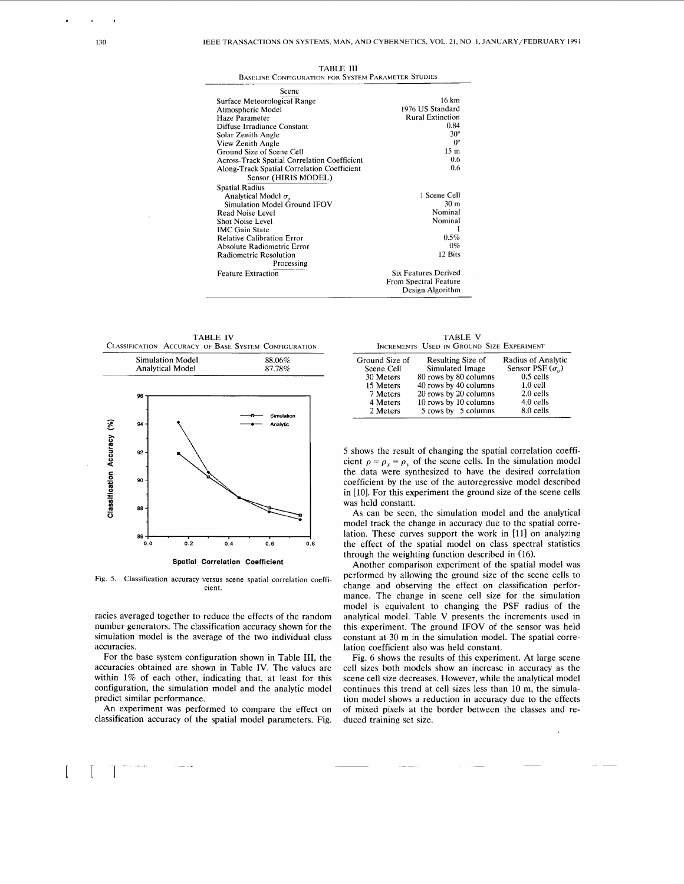<span id="page-5-0"></span>

| Scene                                               |                             |
|-----------------------------------------------------|-----------------------------|
| Surface Meteorological Range                        | 16 km                       |
| Atmospheric Model                                   | 1976 US Standard            |
| Haze Parameter                                      | <b>Rural Extinction</b>     |
| Diffuse Irradiance Constant                         | 0.84                        |
| Solar Zenith Angle                                  | $30^\circ$                  |
| View Zenith Angle                                   | $0^{\circ}$                 |
| Ground Size of Scene Cell                           | 15 <sub>m</sub>             |
| <b>Across-Track Spatial Correlation Coefficient</b> | 0.6                         |
| Along-Track Spatial Correlation Coefficient         | 0.6                         |
| Sensor (HIRIS MODEL)                                |                             |
| <b>Spatial Radius</b>                               |                             |
| Analytical Model $\sigma_{\alpha}$                  | 1 Scene Cell                |
| Simulation Model Ground IFOV                        | 30 <sub>m</sub>             |
| Read Noise Level                                    | Nominal                     |
| Shot Noise Level                                    | Nominal                     |
| <b>IMC</b> Gain State                               | 1                           |
| <b>Relative Calibration Error</b>                   | $0.5\%$                     |
| <b>Absolute Radiometric Error</b>                   | $0\%$                       |
| Radiometric Resolution                              | 12 Bits                     |
| Processing                                          |                             |
| <b>Feature Extraction</b>                           | <b>Six Features Derived</b> |
|                                                     | From Spectral Feature       |
|                                                     | Design Algorithm            |
|                                                     |                             |

TABLE **111**  BASELINE CONFIGURATION FOR SYSTEM PARAMETER STUDIES

| <b>TABLE IV</b> |  |  |                                                      |  |
|-----------------|--|--|------------------------------------------------------|--|
|                 |  |  | CLASSIFICATION ACCURACY OF BASE SYSTEM CONFIGURATION |  |



Fig. 5. Classification accuracy versus scene spatial correlation coeffi cient.

racies averaged together to reduce the effects of the random number generators. The classification accuracy shown for the simulation model is the average of the two individual class accuracies.

For the base system configuration shown in Table **111,** the accuracies obtained are shown in Table IV. The values are within 1% of each other, indicating that, at least for this configuration, the simulation model and the analytic model predict similar performance.

An experiment was performed to compare the effect on classification accuracy of the spatial model parameters. Fig.

TABLE V INCREMENTS USED IN GROUND SIZE EXPERIMENT

| Ground Size of | Resulting Size of     | Radius of Analytic        |
|----------------|-----------------------|---------------------------|
| Scene Cell     | Simulated Image       | Sensor PSF $(\sigma_{o})$ |
| 30 Meters      | 80 rows by 80 columns | $0.5$ cells               |
| 15 Meters      | 40 rows by 40 columns | $1.0$ cell                |
| 7 Meters       | 20 rows by 20 columns | 2.0 cells                 |
| 4 Meters       | 10 rows by 10 columns | 4.0 cells                 |
| 2 Meters       | 5 rows by 5 columns   | 8.0 cells                 |
|                |                       |                           |

*5* shows the result of changing the spatial correlation coefficient  $\rho = \rho_x = \rho_y$  of the scene cells. In the simulation model the data were synthesized to have the desired correlation coefficient by the use of the autoregressive model described in [10]. For this experiment the ground size of the scene cells was held constant.

As can be seen, the simulation model and the analytical model track the change in accuracy due to the spatial correlation. These curves support the work in [Ill on analyzing the effect of the spatial model on class spectral statistics through the weighting function described in (16).

Another comparison experiment of the spatial model was performed by allowing the ground size of the scene cells to change and observing the effect on classification performance. The change in scene cell size for the simulation model is equivalent to changing the PSF radius of the analytical model. Table V presents the increments used in this experiment. The ground IFOV of the sensor was held constant at 30 m in the simulation model. The spatial correlation coefficient also was held constant.

[Fig. 6](#page-6-0) shows the results of this experiment. At large scene cell sizes both models show an increase in accuracy as the scene cell size decreases. However, while the analytical model continues this trend at cell sizes less than 10 m, the simulation model shows a reduction in accuracy due to the effects of mixed pixels at the border between the classes and reduced training set size.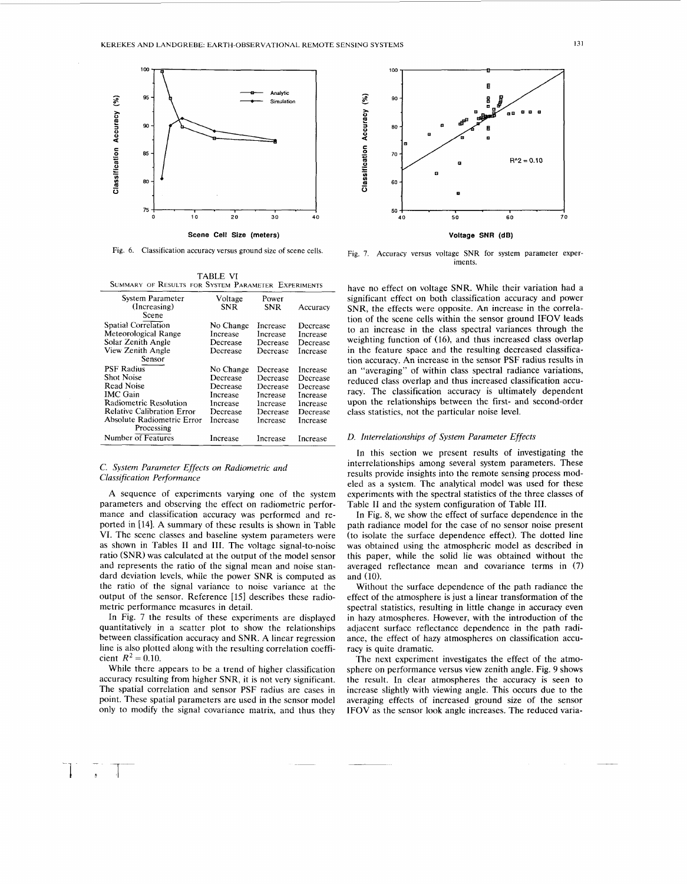<span id="page-6-0"></span>

**Scene Cell Size (meters)** 

Fig. 6. Classification accuracy versus ground size of scene cells

TABLE VI Summary of Results for System Parameter Experiments

| TABLE VI<br>SUMMARY OF RESULTS FOR SYSTEM PARAMETER EXPERIMENTS |                |                     |          |  |
|-----------------------------------------------------------------|----------------|---------------------|----------|--|
| System Parameter<br>(Increasing)<br>Scene                       | Voltage<br>SNR | Power<br><b>SNR</b> | Accuracy |  |
| Spatial Correlation                                             | No Change      | Increase            | Decrease |  |
| Meteorological Range                                            | Increase       | Increase            | Increase |  |
| Solar Zenith Angle                                              | Decrease       | Decrease            | Decrease |  |
| View Zenith Angle                                               | Decrease       | Decrease            | Increase |  |
| Sensor                                                          |                |                     |          |  |
| <b>PSF Radius</b>                                               | No Change      | Decrease            | Increase |  |
| <b>Shot Noise</b>                                               | Decrease       | Decrease            | Decrease |  |
| <b>Read Noise</b>                                               | Decrease       | Decrease            | Decrease |  |
| <b>IMC</b> Gain                                                 | Increase       | Increase            | Increase |  |
| Radiometric Resolution                                          | Increase       | Increase            | Increase |  |
| <b>Relative Calibration Error</b>                               | Decrease       | Decrease            | Decrease |  |
| Absolute Radiometric Error<br>Processing                        | Increase       | Increase            | Increase |  |
| Number of Features                                              | Increase       | Increase            | Increase |  |

## *C. System Parameter Effects on Radiometric and Classification Performance*

**A** sequence of experiments varying one of the system parameters and observing the effect on radiometric performance and classification accuracy was performed and reported in [14]. **A** summary of these results is shown in Table VI. The scene classes and baseline system parameters were as shown in [Tables](#page-4-0) **I1** and **111.** The voltage signal-to-noise ratio (SNR) was calculated at the output of the model sensor and represents the ratio of the signal mean and noise standard deviation levels, while the power SNR is computed as the ratio of the signal variance to noise variance at the output of the sensor. Reference [15] describes these radiometric performance measures in detail.

In Fig. 7 the results of these experiments are displayed quantitatively in a scatter plot to show the relationships between classification accuracy and SNR. **A** linear regression line is also plotted along with the resulting correlation coefficient  $R^2 = 0.10$ .

While there appears to be a trend of higher classification accuracy resulting from higher SNR, it is not very significant. The spatial correlation and sensor **PSF** radius are cases in point. These spatial parameters are used in the sensor model only to modify the signal covariance matrix, and thus they

 $\frac{1}{2}$   $\frac{1}{2}$   $\frac{1}{2}$ 



Fig. 7. Accuracy versus voltage **SNR** for system parameter experiments.

have no effect on voltage SNR. While their variation had a significant effect on both classification accuracy and power SNR, the effects were opposite. An increase in the correlation of the scene cells within the sensor ground IFOV leads to an increase in the class spectral variances through the weighting function of **(16),** and thus increased class overlap in the feature space and the resulting decreased classification accuracy. An increase in the sensor **PSF** radius results in an "averaging" of within class spectral radiance variations, reduced class overlap and thus increased classification accuracy. The classification accuracy is ultimately dependent upon the relationships between the first- and second-order class statistics, not the particular noise level.

# *D. Interrelationships of System Parameter Effects*

In this section we present results of investigating the interrelationships among several system parameters. These results provide insights into the remote sensing process modeled as a system. The analytical model was used for these experiments with the spectral statistics of the three classes of [Table](#page-4-0) **I1** and the system configuration of [Table](#page-5-0) **111.** 

In Fig. 8, we show the effect of surface dependence in the path radiance model for the case of no sensor noise present (to isolate the surface dependence effect). The dotted line was obtained using the atmospheric model as described in this paper, while the solid lie was obtained without the averaged reflectance mean and covariance terms in (7) and (10).

Without the surface dependence of the path radiance the effect of the atmosphere is just a linear transformation of the spectral statistics, resulting in little change in accuracy even in hazy atmospheres. However, with the introduction of the adjacent surface reflectance dependence in the path radiance, the effect of hazy atmospheres on classification accuracy is quite dramatic.

The next experiment investigates the effect of the atmosphere on performance versus view zenith angle. Fig. 9 shows the result. In clear atmospheres the accuracy is seen to increase slightly with viewing angle. This occurs due to the averaging effects of increased ground size of the sensor IFOV as the sensor look angle increases. The reduced varia-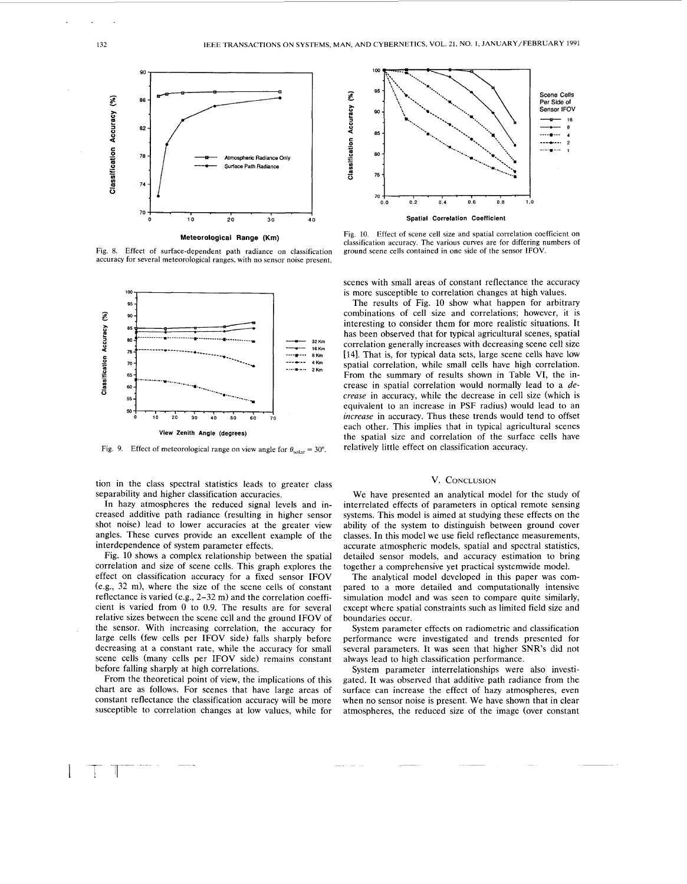

**Meteorological Range (Km)** 

Fig. 8. Effect of surface-dependent path radiance on classification accuracy for several meteorological ranges, with no sensor noise present.



Fig. 9. Effect of meteorological range on view angle for  $\theta_{\text{solar}} = 30^{\circ}$ .

tion in the class spectral statistics leads to greater class separability and higher classification accuracies.

In hazy atmospheres the reduced signal levels and increased additive path radiance (resulting in higher sensor shot noise) lead to lower accuracies at the greater view angles. These curves provide an excellent example of the interdependence of system parameter effects.

Fig. 10 shows a complex relationship between the spatial correlation and size of scene cells. This graph explores the effect on classification accuracy for a fixed sensor IFOV (e.g., 32 m), where the size of the scene cells of constant reflectance is varied (e.g., 2-32 m) and the correlation coefficient is varied from 0 to 0.9. The results are for several relative sizes between the scene cell and the ground IFOV of the sensor. With increasing correlation, the accuracy for large cells (few cells per IFOV side) falls sharply before decreasing at a constant rate, while the accuracy for small scene cells (many cells per IFOV side) remains constant before falling sharply at high correlations.

From the theoretical point of view, the implications of this chart are as follows. For scenes that have large areas of constant reflectance the classification accuracy will be more susceptible to correlation changes at low values, while for



Fig. 10. Effect of scene cell size and spatial correlation coefficient on classification accuracy. The various curves are for differing numbers of ground scene cells contained in one side of the sensor IFOV.

scenes with small areas of constant reflectance the accuracy is more susceptible to correlation changes at high values.

The results of Fig. 10 show what happen for arbitrary combinations of cell size and correlations; however, it is interesting to consider them for more realistic situations. It has been observed that for typical agricultural scenes, spatial correlation generally increases with decreasing scene cell size [14]. That is, for typical data sets, large scene cells have low spatial correlation, while small cells have high correlation. From the summary of results shown in Table VI, the increase in spatial correlation would normally lead to a *decrease* in accuracy, while the decrease in cell size (which is equivalent to an increase in PSF radius) would lead to an *increase* in accuracy. Thus these trends would tend to offset each other. This implies that in typical agricultural scenes the spatial size and correlation of the surface cells have relatively little effect on classification accuracy.

## V. CONCLUSION

We have presented an analytical model for the study of interrelated effects of parameters in optical remote sensing systems. This model is aimed at studying these effects on the ability of the system to distinguish between ground cover classes. In this model we use field reflectance measurements, accurate atmospheric models, spatial and spectral statistics, detailed sensor models, and accuracy estimation to bring together a comprehensive yet practical systemwide model.

The analytical model developed in this paper was compared to a more detailed and computationally intensive simulation model and was seen to compare quite similarly, except where spatial constraints such as limited field size and boundaries occur.

System parameter effects on radiometric and classification performance were investigated and trends presented for several parameters. It was seen that higher SNR's did not always lead to high classification performance.

System parameter interrelationships were also investigated. It was observed that additive path radiance from the surface can increase the effect of hazy atmospheres, even when no sensor noise is present. We have shown that in clear atmospheres, the reduced size of the image (over constant